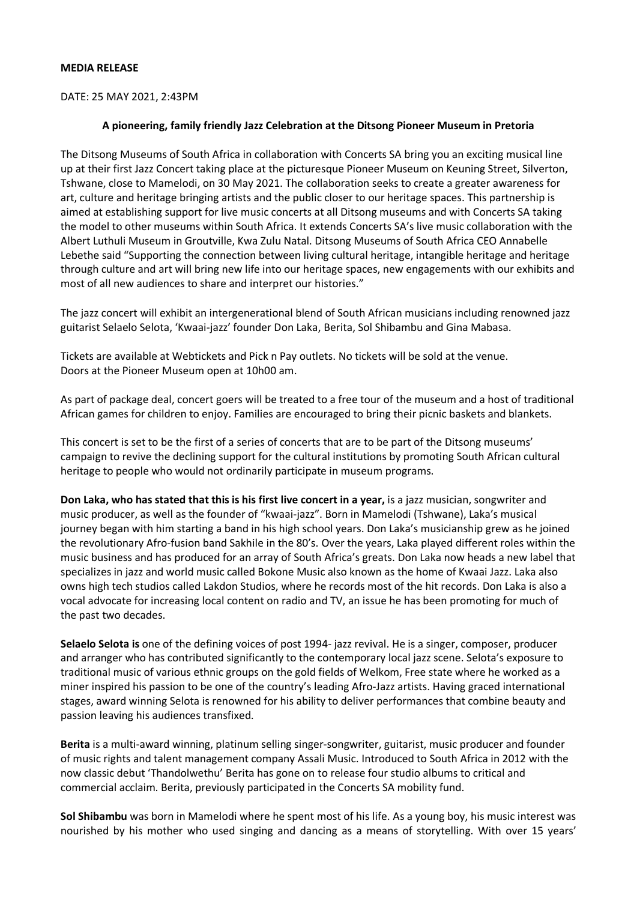### **MEDIA RELEASE**

DATE: 25 MAY 2021, 2:43PM

### **A pioneering, family friendly Jazz Celebration at the Ditsong Pioneer Museum in Pretoria**

The Ditsong Museums of South Africa in collaboration with Concerts SA bring you an exciting musical line up at their first Jazz Concert taking place at the picturesque Pioneer Museum on Keuning Street, Silverton, Tshwane, close to Mamelodi, on 30 May 2021. The collaboration seeks to create a greater awareness for art, culture and heritage bringing artists and the public closer to our heritage spaces. This partnership is aimed at establishing support for live music concerts at all Ditsong museums and with Concerts SA taking the model to other museums within South Africa. It extends Concerts SA's live music collaboration with the Albert Luthuli Museum in Groutville, Kwa Zulu Natal. Ditsong Museums of South Africa CEO Annabelle Lebethe said "Supporting the connection between living cultural heritage, intangible heritage and heritage through culture and art will bring new life into our heritage spaces, new engagements with our exhibits and most of all new audiences to share and interpret our histories."

The jazz concert will exhibit an intergenerational blend of South African musicians including renowned jazz guitarist Selaelo Selota, 'Kwaai-jazz' founder Don Laka, Berita, Sol Shibambu and Gina Mabasa.

Tickets are available at Webtickets and Pick n Pay outlets. No tickets will be sold at the venue. Doors at the Pioneer Museum open at 10h00 am.

As part of package deal, concert goers will be treated to a free tour of the museum and a host of traditional African games for children to enjoy. Families are encouraged to bring their picnic baskets and blankets.

This concert is set to be the first of a series of concerts that are to be part of the Ditsong museums' campaign to revive the declining support for the cultural institutions by promoting South African cultural heritage to people who would not ordinarily participate in museum programs.

**Don Laka, who has stated that this is his first live concert in a year,** is a jazz musician, [songwriter](https://en.wikipedia.org/wiki/Songwriter) and music producer, as well as the founder of "kwaai-jazz". Born in Mamelodi (Tshwane), Laka's musical journey began with him starting a band in his high school years. Don Laka's musicianship grew as he joined the revolutionary Afro-fusion band Sakhile in the 80's. Over the years, Laka played different roles within the music business and has produced for an array of South Africa's greats. Don Laka now heads a new label that specializes in jazz and world music called Bokone Music also known as the home of Kwaai Jazz. Laka also owns high tech studios called Lakdon Studios, where he records most of the hit records. Don Laka is also a vocal advocate for increasing local content on radio and TV, an issue he has been promoting for much of the past two decades.

**Selaelo Selota is** one of the defining voices of post 1994- jazz revival. He is a singer, composer, producer and arranger who has contributed significantly to the contemporary local jazz scene. Selota's exposure to traditional music of various ethnic groups on the gold fields of Welkom, Free state where he worked as a miner inspired his passion to be one of the country's leading Afro-Jazz artists. Having graced international stages, award winning Selota is renowned for his ability to deliver performances that combine beauty and passion leaving his audiences transfixed.

**Berita** is a multi-award winning, platinum selling singer-songwriter, guitarist, music producer and founder of music rights and talent management company Assali Music. Introduced to South Africa in 2012 with the now classic debut 'Thandolwethu' Berita has gone on to release four studio albums to critical and commercial acclaim. Berita, previously participated in the Concerts SA mobility fund.

**Sol Shibambu** was born in Mamelodi where he spent most of his life. As a young boy, his music interest was nourished by his mother who used singing and dancing as a means of storytelling. With over 15 years'